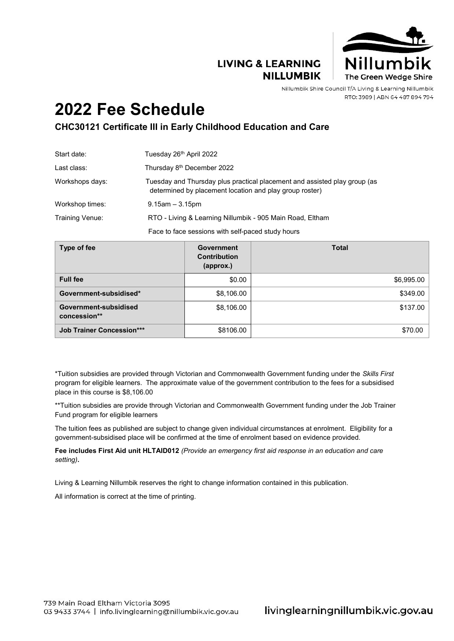### **LIVING & LEARNING NILLUMBIK**



Nillumbik Shire Council T/A Living & Learning Nillumbik RTO: 3989 | ABN 64 487 894 794

# **2022 Fee Schedule**

## **CHC30121 Certificate III in Early Childhood Education and Care**

| Start date:     | Tuesday 26th April 2022                                                                                                              |
|-----------------|--------------------------------------------------------------------------------------------------------------------------------------|
| Last class:     | Thursday 8 <sup>th</sup> December 2022                                                                                               |
| Workshops days: | Tuesday and Thursday plus practical placement and assisted play group (as<br>determined by placement location and play group roster) |
| Workshop times: | $9.15$ am $-3.15$ pm                                                                                                                 |
| Training Venue: | RTO - Living & Learning Nillumbik - 905 Main Road, Eltham                                                                            |
|                 | Face to face sessions with self-paced study hours                                                                                    |

| Type of fee                           | <b>Government</b><br><b>Contribution</b><br>(approx.) | <b>Total</b> |
|---------------------------------------|-------------------------------------------------------|--------------|
| <b>Full fee</b>                       | \$0.00                                                | \$6,995.00   |
| Government-subsidised*                | \$8,106.00                                            | \$349.00     |
| Government-subsidised<br>concession** | \$8,106.00                                            | \$137.00     |
| <b>Job Trainer Concession***</b>      | \$8106.00                                             | \$70.00      |

\*Tuition subsidies are provided through Victorian and Commonwealth Government funding under the *Skills First* program for eligible learners. The approximate value of the government contribution to the fees for a subsidised place in this course is \$8,106.00

\*\*Tuition subsidies are provide through Victorian and Commonwealth Government funding under the Job Trainer Fund program for eligible learners

The tuition fees as published are subject to change given individual circumstances at enrolment. Eligibility for a government-subsidised place will be confirmed at the time of enrolment based on evidence provided.

**Fee includes First Aid unit HLTAID012** *(Provide an emergency first aid response in an education and care setting)***.**

Living & Learning Nillumbik reserves the right to change information contained in this publication.

All information is correct at the time of printing.